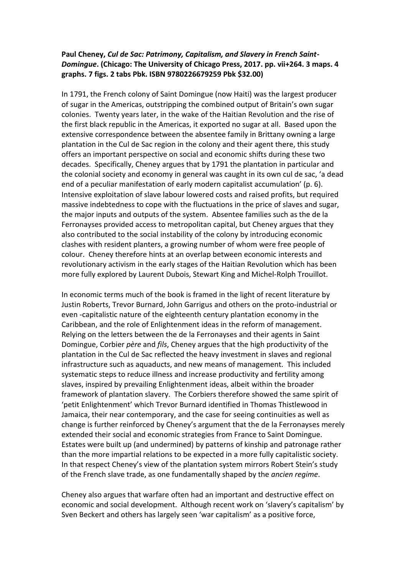## **Paul Cheney,** *Cul de Sac: Patrimony, Capitalism, and Slavery in French Saint-Domingue***. (Chicago: The University of Chicago Press, 2017. pp. vii+264. 3 maps. 4 graphs. 7 figs. 2 tabs Pbk. ISBN 9780226679259 Pbk \$32.00)**

In 1791, the French colony of Saint Domingue (now Haiti) was the largest producer of sugar in the Americas, outstripping the combined output of Britain's own sugar colonies. Twenty years later, in the wake of the Haitian Revolution and the rise of the first black republic in the Americas, it exported no sugar at all. Based upon the extensive correspondence between the absentee family in Brittany owning a large plantation in the Cul de Sac region in the colony and their agent there, this study offers an important perspective on social and economic shifts during these two decades. Specifically, Cheney argues that by 1791 the plantation in particular and the colonial society and economy in general was caught in its own cul de sac, 'a dead end of a peculiar manifestation of early modern capitalist accumulation' (p. 6). Intensive exploitation of slave labour lowered costs and raised profits, but required massive indebtedness to cope with the fluctuations in the price of slaves and sugar, the major inputs and outputs of the system. Absentee families such as the de la Ferronayses provided access to metropolitan capital, but Cheney argues that they also contributed to the social instability of the colony by introducing economic clashes with resident planters, a growing number of whom were free people of colour. Cheney therefore hints at an overlap between economic interests and revolutionary activism in the early stages of the Haitian Revolution which has been more fully explored by Laurent Dubois, Stewart King and Michel-Rolph Trouillot.

In economic terms much of the book is framed in the light of recent literature by Justin Roberts, Trevor Burnard, John Garrigus and others on the proto-industrial or even -capitalistic nature of the eighteenth century plantation economy in the Caribbean, and the role of Enlightenment ideas in the reform of management. Relying on the letters between the de la Ferronayses and their agents in Saint Domingue, Corbier *père* and *fils*, Cheney argues that the high productivity of the plantation in the Cul de Sac reflected the heavy investment in slaves and regional infrastructure such as aquaducts, and new means of management. This included systematic steps to reduce illness and increase productivity and fertility among slaves, inspired by prevailing Enlightenment ideas, albeit within the broader framework of plantation slavery. The Corbiers therefore showed the same spirit of 'petit Enlightenment' which Trevor Burnard identified in Thomas Thistlewood in Jamaica, their near contemporary, and the case for seeing continuities as well as change is further reinforced by Cheney's argument that the de la Ferronayses merely extended their social and economic strategies from France to Saint Domingue. Estates were built up (and undermined) by patterns of kinship and patronage rather than the more impartial relations to be expected in a more fully capitalistic society. In that respect Cheney's view of the plantation system mirrors Robert Stein's study of the French slave trade, as one fundamentally shaped by the *ancien regime*.

Cheney also argues that warfare often had an important and destructive effect on economic and social development. Although recent work on 'slavery's capitalism' by Sven Beckert and others has largely seen 'war capitalism' as a positive force,